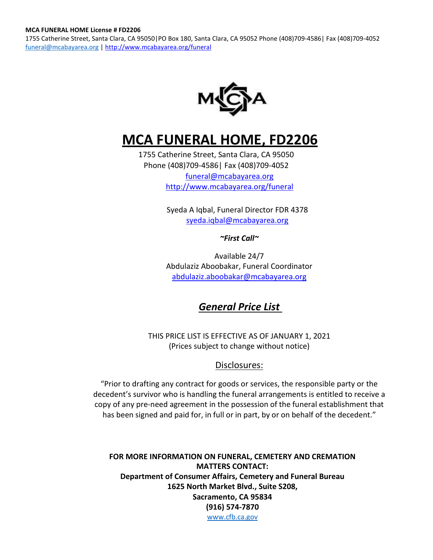1755 Catherine Street, Santa Clara, CA 95050|PO Box 180, Santa Clara, CA 95052 Phone (408)709-4586| Fax (408)709-4052 [funeral@mcabayarea.org](mailto:funeral@mcabayarea.org) |<http://www.mcabayarea.org/funeral>



# **MCA FUNERAL HOME, FD2206**

1755 Catherine Street, Santa Clara, CA 95050 Phone (408)709-4586| Fax (408)709-4052 [funeral@mcabayarea.org](mailto:funeral@mcabayarea.org) <http://www.mcabayarea.org/funeral>

> Syeda A Iqbal, Funeral Director FDR 4378 [syeda.iqbal@mcabayarea.org](mailto:syeda.iqbal@mcabayarea.org)

#### *[~First Call~](mailto:angelica.harara@mcabayarea.org)*

Available 24/7 Abdulaziz Aboobakar, Funeral Coordinator [abdulaziz.aboobakar@mcabayarea.org](mailto:abdulaziz.aboobakar@mcabayarea.org)

# *General Price List*

THIS PRICE LIST IS EFFECTIVE AS OF JANUARY 1, 2021 (Prices subject to change without notice)

### Disclosures:

"Prior to drafting any contract for goods or services, the responsible party or the decedent's survivor who is handling the funeral arrangements is entitled to receive a copy of any pre-need agreement in the possession of the funeral establishment that has been signed and paid for, in full or in part, by or on behalf of the decedent."

**FOR MORE INFORMATION ON FUNERAL, CEMETERY AND CREMATION MATTERS CONTACT: Department of Consumer Affairs, Cemetery and Funeral Bureau 1625 North Market Blvd., Suite S208, Sacramento, CA 95834 (916) 574-7870** [www.cfb.ca.gov](http://www.cfb.ca.gov/)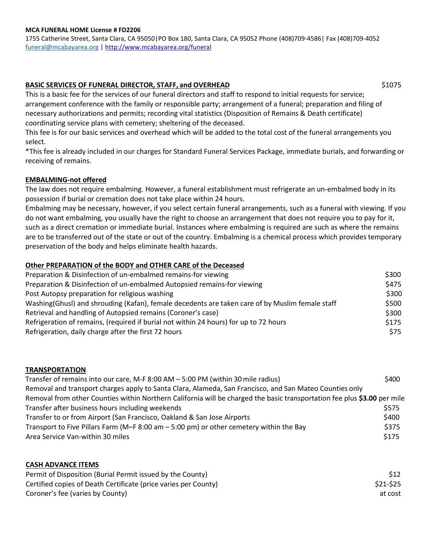1755 Catherine Street, Santa Clara, CA 95050|PO Box 180, Santa Clara, CA 95052 Phone (408)709-4586| Fax (408)709-4052 [funeral@mcabayarea.org](mailto:funeral@mcabayarea.org) |<http://www.mcabayarea.org/funeral>

#### **BASIC SERVICES OF FUNERAL DIRECTOR, STAFF, and OVERHEAD** \$1075

This is a basic fee for the services of our funeral directors and staff to respond to initial requests for service; arrangement conference with the family or responsible party; arrangement of a funeral; preparation and filing of necessary authorizations and permits; recording vital statistics (Disposition of Remains & Death certificate) coordinating service plans with cemetery; sheltering of the deceased.

This fee is for our basic services and overhead which will be added to the total cost of the funeral arrangements you select.

\*This fee is already included in our charges for Standard Funeral Services Package, immediate burials, and forwarding or receiving of remains.

#### **EMBALMING-not offered**

The law does not require embalming. However, a funeral establishment must refrigerate an un-embalmed body in its possession if burial or cremation does not take place within 24 hours.

Embalming may be necessary, however, if you select certain funeral arrangements, such as a funeral with viewing. If you do not want embalming, you usually have the right to choose an arrangement that does not require you to pay for it, such as a direct cremation or immediate burial. Instances where embalming is required are such as where the remains are to be transferred out of the state or out of the country. Embalming is a chemical process which provides temporary preservation of the body and helps eliminate health hazards.

#### **Other PREPARATION of the BODY and OTHER CARE of the Deceased**

| Preparation & Disinfection of un-embalmed remains-for viewing                                    | \$300 |
|--------------------------------------------------------------------------------------------------|-------|
| Preparation & Disinfection of un-embalmed Autopsied remains-for viewing                          | \$475 |
| Post Autopsy preparation for religious washing                                                   | \$300 |
| Washing (Ghusl) and shrouding (Kafan), female decedents are taken care of by Muslim female staff | \$500 |
| Retrieval and handling of Autopsied remains (Coroner's case)                                     | \$300 |
| Refrigeration of remains, (required if burial not within 24 hours) for up to 72 hours            | \$175 |
| Refrigeration, daily charge after the first 72 hours                                             | \$75  |

#### **TRANSPORTATION**

| Transfer of remains into our care, M-F 8:00 AM - 5:00 PM (within 30 mile radius)                                         | \$400 |
|--------------------------------------------------------------------------------------------------------------------------|-------|
| Removal and transport charges apply to Santa Clara, Alameda, San Francisco, and San Mateo Counties only                  |       |
| Removal from other Counties within Northern California will be charged the basic transportation fee plus \$3.00 per mile |       |
| Transfer after business hours including weekends                                                                         | \$575 |
| Transfer to or from Airport (San Francisco, Oakland & San Jose Airports                                                  | \$400 |
| Transport to Five Pillars Farm (M-F 8:00 am - 5:00 pm) or other cemetery within the Bay                                  | \$375 |
| Area Service Van-within 30 miles                                                                                         | \$175 |

#### **CASH ADVANCE ITEMS**

| Permit of Disposition (Burial Permit issued by the County)      | \$12      |
|-----------------------------------------------------------------|-----------|
| Certified copies of Death Certificate (price varies per County) | \$21-\$25 |
| Coroner's fee (varies by County)                                | at cost   |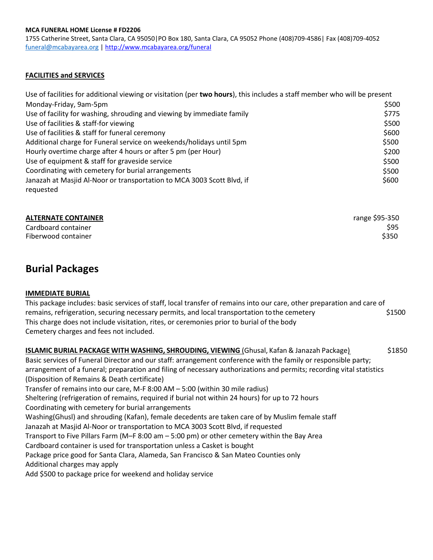1755 Catherine Street, Santa Clara, CA 95050|PO Box 180, Santa Clara, CA 95052 Phone (408)709-4586| Fax (408)709-4052 [funeral@mcabayarea.org](mailto:funeral@mcabayarea.org) |<http://www.mcabayarea.org/funeral>

#### **FACILITIES and SERVICES**

| Use of facilities for additional viewing or visitation (per two hours), this includes a staff member who will be present |       |
|--------------------------------------------------------------------------------------------------------------------------|-------|
| Monday-Friday, 9am-5pm                                                                                                   | \$500 |
| Use of facility for washing, shrouding and viewing by immediate family                                                   | \$775 |
| Use of facilities & staff-for viewing                                                                                    | \$500 |
| Use of facilities & staff for funeral ceremony                                                                           | \$600 |
| Additional charge for Funeral service on weekends/holidays until 5pm                                                     | \$500 |
| Hourly overtime charge after 4 hours or after 5 pm (per Hour)                                                            | \$200 |
| Use of equipment & staff for graveside service                                                                           | \$500 |
| Coordinating with cemetery for burial arrangements                                                                       | \$500 |
| Janazah at Masjid Al-Noor or transportation to MCA 3003 Scott Blvd, if                                                   | \$600 |
| requested                                                                                                                |       |

| <b>ALTERNATE CONTAINER</b> | range \$95-350 |
|----------------------------|----------------|
| Cardboard container        | \$95           |
| Fiberwood container        | \$350          |

# **Burial Packages**

#### **IMMEDIATE BURIAL**

This package includes: basic services of staff, local transfer of remains into our care, other preparation and care of remains, refrigeration, securing necessary permits, and local transportation to the cemetery  $\frac{1500}{24500}$ This charge does not include visitation, rites, or ceremonies prior to burial of the body Cemetery charges and fees not included.

**ISLAMIC BURIAL PACKAGE WITH WASHING, SHROUDING, VIEWING** (Ghusal, Kafan & Janazah Package) \$1850 Basic services of Funeral Director and our staff: arrangement conference with the family or responsible party; arrangement of a funeral; preparation and filing of necessary authorizations and permits; recording vital statistics (Disposition of Remains & Death certificate) Transfer of remains into our care, M-F 8:00 AM – 5:00 (within 30 mile radius) Sheltering (refrigeration of remains, required if burial not within 24 hours) for up to 72 hours Coordinating with cemetery for burial arrangements Washing(Ghusl) and shrouding (Kafan), female decedents are taken care of by Muslim female staff Janazah at Masjid Al-Noor or transportation to MCA 3003 Scott Blvd, if requested Transport to Five Pillars Farm (M–F 8:00 am – 5:00 pm) or other cemetery within the Bay Area Cardboard container is used for transportation unless a Casket is bought Package price good for Santa Clara, Alameda, San Francisco & San Mateo Counties only Additional charges may apply Add \$500 to package price for weekend and holiday service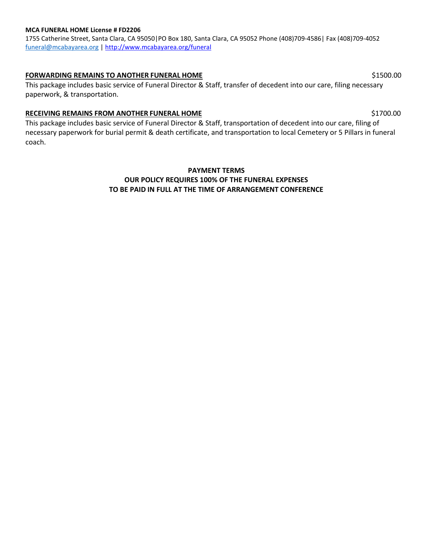1755 Catherine Street, Santa Clara, CA 95050|PO Box 180, Santa Clara, CA 95052 Phone (408)709-4586| Fax (408)709-4052 [funeral@mcabayarea.org](mailto:funeral@mcabayarea.org) |<http://www.mcabayarea.org/funeral>

#### **FORWARDING REMAINS TO ANOTHER FUNERAL HOME** \$1500.00

This package includes basic service of Funeral Director & Staff, transfer of decedent into our care, filing necessary paperwork, & transportation.

#### **RECEIVING REMAINS FROM ANOTHER FUNERAL HOME** \$1700.00

This package includes basic service of Funeral Director & Staff, transportation of decedent into our care, filing of necessary paperwork for burial permit & death certificate, and transportation to local Cemetery or 5 Pillars in funeral coach.

### **PAYMENT TERMS OUR POLICY REQUIRES 100% OF THE FUNERAL EXPENSES TO BE PAID IN FULL AT THE TIME OF ARRANGEMENT CONFERENCE**